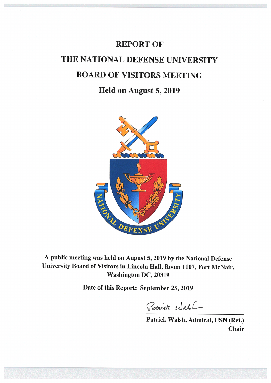# **REPORT OF** THE NATIONAL DEFENSE UNIVERSITY **BOARD OF VISITORS MEETING**

# Held on August 5, 2019



A public meeting was held on August 5, 2019 by the National Defense University Board of Visitors in Lincoln Hall, Room 1107, Fort McNair, **Washington DC, 20319** 

Date of this Report: September 25, 2019

Patrick Wable

Patrick Walsh, Admiral, USN (Ret.) **Chair**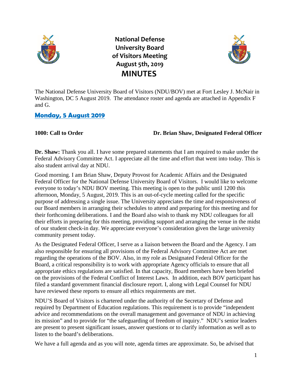

**National Defense University Board of Visitors Meeting August 5th, 2019 MINUTES**



The National Defense University Board of Visitors (NDU/BOV) met at Fort Lesley J. McNair in Washington, DC 5 August 2019. The attendance roster and agenda are attached in Appendix F and G.

# **Monday, 5 August 2019**

### **1000: Call to Order Dr. Brian Shaw, Designated Federal Officer**

**Dr. Shaw:** Thank you all. I have some prepared statements that I am required to make under the Federal Advisory Committee Act. I appreciate all the time and effort that went into today. This is also student arrival day at NDU.

Good morning. I am Brian Shaw, Deputy Provost for Academic Affairs and the Designated Federal Officer for the National Defense University Board of Visitors. I would like to welcome everyone to today's NDU BOV meeting. This meeting is open to the public until 1200 this afternoon, Monday, 5 August, 2019. This is an out-of-cycle meeting called for the specific purpose of addressing a single issue. The University appreciates the time and responsiveness of our Board members in arranging their schedules to attend and preparing for this meeting and for their forthcoming deliberations. I and the Board also wish to thank my NDU colleagues for all their efforts in preparing for this meeting, providing support and arranging the venue in the midst of our student check-in day. We appreciate everyone's consideration given the large university community present today.

As the Designated Federal Officer, I serve as a liaison between the Board and the Agency. I am also responsible for ensuring all provisions of the Federal Advisory Committee Act are met regarding the operations of the BOV. Also, in my role as Designated Federal Officer for the Board, a critical responsibility is to work with appropriate Agency officials to ensure that all appropriate ethics regulations are satisfied. In that capacity, Board members have been briefed on the provisions of the Federal Conflict of Interest Laws. In addition, each BOV participant has filed a standard government financial disclosure report. I, along with Legal Counsel for NDU have reviewed these reports to ensure all ethics requirements are met.

NDU'S Board of Visitors is chartered under the authority of the Secretary of Defense and required by Department of Education regulations. This requirement is to provide "independent advice and recommendations on the overall management and governance of NDU in achieving its mission" and to provide for "the safeguarding of freedom of inquiry." NDU's senior leaders are present to present significant issues, answer questions or to clarify information as well as to listen to the board's deliberations.

We have a full agenda and as you will note, agenda times are approximate. So, be advised that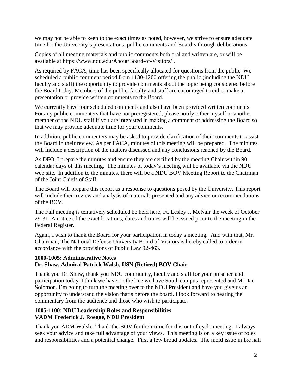we may not be able to keep to the exact times as noted, however, we strive to ensure adequate time for the University's presentations, public comments and Board's through deliberations.

Copies of all meeting materials and public comments both oral and written are, or will be available at https://www.ndu.edu/About/Board-of-Visitors/ .

As required by FACA, time has been specifically allocated for questions from the public. We scheduled a public comment period from 1130-1200 offering the public (including the NDU faculty and staff) the opportunity to provide comments about the topic being considered before the Board today. Members of the public, faculty and staff are encouraged to either make a presentation or provide written comments to the Board.

We currently have four scheduled comments and also have been provided written comments. For any public commenters that have not preregistered, please notify either myself or another member of the NDU staff if you are interested in making a comment or addressing the Board so that we may provide adequate time for your comments.

In addition, public commenters may be asked to provide clarification of their comments to assist the Board in their review. As per FACA, minutes of this meeting will be prepared. The minutes will include a description of the matters discussed and any conclusions reached by the Board.

As DFO, I prepare the minutes and ensure they are certified by the meeting Chair within 90 calendar days of this meeting. The minutes of today's meeting will be available via the NDU web site. In addition to the minutes, there will be a NDU BOV Meeting Report to the Chairman of the Joint Chiefs of Staff.

The Board will prepare this report as a response to questions posed by the University. This report will include their review and analysis of materials presented and any advice or recommendations of the BOV.

The Fall meeting is tentatively scheduled be held here, Ft. Lesley J. McNair the week of October 29-31. A notice of the exact locations, dates and times will be issued prior to the meeting in the Federal Register.

Again, I wish to thank the Board for your participation in today's meeting. And with that, Mr. Chairman, The National Defense University Board of Visitors is hereby called to order in accordance with the provisions of Public Law 92-463.

### **1000-1005: Administrative Notes Dr. Shaw, Admiral Patrick Walsh, USN (Retired) BOV Chair**

Thank you Dr. Shaw, thank you NDU community, faculty and staff for your presence and participation today. I think we have on the line we have South campus represented and Mr. Ian Solomon. I'm going to turn the meeting over to the NDU President and have you give us an opportunity to understand the vision that's before the board. I look forward to hearing the commentary from the audience and those who wish to participate.

#### **1005-1100: NDU Leadership Roles and Responsibilities VADM Frederick J. Roegge, NDU President**

Thank you ADM Walsh. Thank the BOV for their time for this out of cycle meeting. I always seek your advice and take full advantage of your views. This meeting is on a key issue of roles and responsibilities and a potential change. First a few broad updates. The mold issue in Ike hall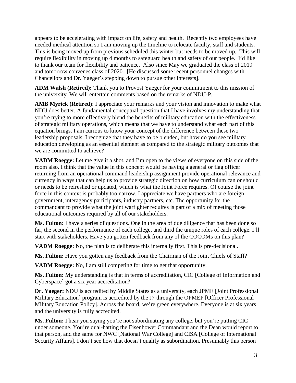appears to be accelerating with impact on life, safety and health. Recently two employees have needed medical attention so I am moving up the timeline to relocate faculty, staff and students. This is being moved up from previous scheduled this winter but needs to be moved up. This will require flexibility in moving up 4 months to safeguard health and safety of our people. I'd like to thank our team for flexibility and patience. Also since May we graduated the class of 2019 and tomorrow convenes class of 2020. [He discussed some recent personnel changes with Chancellors and Dr. Yaeger's stepping down to pursue other interests].

**ADM Walsh (Retired):** Thank you to Provost Yaeger for your commitment to this mission of the university. We will entertain comments based on the remarks of NDU-P.

**AMB Myrick (Retired)**: I appreciate your remarks and your vision and innovation to make what NDU does better. A fundamental conceptual question that I have involves my understanding that you're trying to more effectively blend the benefits of military education with the effectiveness of strategic military operations, which means that we have to understand what each part of this equation brings. I am curious to know your concept of the difference between these two leadership proposals. I recognize that they have to be blended, but how do you see military education developing as an essential element as compared to the strategic military outcomes that we are committed to achieve?

**VADM Roegge:** Let me give it a shot, and I'm open to the views of everyone on this side of the room also. I think that the value in this concept would be having a general or flag officer returning from an operational command leadership assignment provide operational relevance and currency in ways that can help us to provide strategic direction on how curriculum can or should or needs to be refreshed or updated, which is what the Joint Force requires. Of course the joint force in this context is probably too narrow. I appreciate we have partners who are foreign government, interagency participants, industry partners, etc. The opportunity for the commandant to provide what the joint warfighter requires is part of a mix of meeting those educational outcomes required by all of our stakeholders.

**Ms. Fulton:** I have a series of questions. One in the area of due diligence that has been done so far, the second in the performance of each college, and third the unique roles of each college. I'll start with stakeholders. Have you gotten feedback from any of the COCOMs on this plan?

**VADM Roegge:** No, the plan is to deliberate this internally first. This is pre-decisional.

**Ms. Fulton:** Have you gotten any feedback from the Chairman of the Joint Chiefs of Staff?

**VADM Roegge:** No, I am still competing for time to get that opportunity.

**Ms. Fulton:** My understanding is that in terms of accreditation, CIC [College of Information and Cyberspace] got a six year accreditation?

**Dr. Yaeger:** NDU is accredited by Middle States as a university, each JPME [Joint Professional Military Education] program is accredited by the J7 through the OPMEP [Officer Professional Military Education Policy]. Across the board, we're green everywhere. Everyone is at six years and the university is fully accredited.

**Ms. Fulton:** I hear you saying you're not subordinating any college, but you're putting CIC under someone. You're dual-hatting the Eisenhower Commandant and the Dean would report to that person, and the same for NWC [National War College] and CISA [College of International Security Affairs]. I don't see how that doesn't qualify as subordination. Presumably this person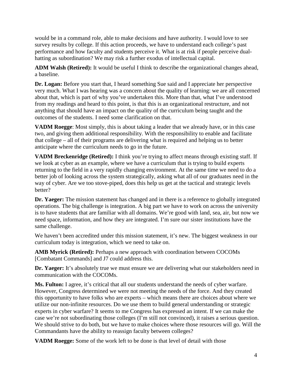would be in a command role, able to make decisions and have authority. I would love to see survey results by college. If this action proceeds, we have to understand each college's past performance and how faculty and students perceive it. What is at risk if people perceive dualhatting as subordination? We may risk a further exodus of intellectual capital.

**ADM Walsh (Retired):** It would be useful I think to describe the organizational changes ahead, a baseline.

**Dr. Logan:** Before you start that, I heard something Sue said and I appreciate her perspective very much. What I was hearing was a concern about the quality of learning: we are all concerned about that, which is part of why you've undertaken this. More than that, what I've understood from my readings and heard to this point, is that this is an organizational restructure, and not anything that should have an impact on the quality of the curriculum being taught and the outcomes of the students. I need some clarification on that.

**VADM Roegge**: Most simply, this is about taking a leader that we already have, or in this case two, and giving them additional responsibility. With the responsibility to enable and facilitate that college – all of their programs are delivering what is required and helping us to better anticipate where the curriculum needs to go in the future.

**VADM Breckenridge (Retired):** I think you're trying to affect means through existing staff. If we look at cyber as an example, where we have a curriculum that is trying to build experts returning to the field in a very rapidly changing environment. At the same time we need to do a better job of looking across the system strategically, asking what all of our graduates need in the way of cyber. Are we too stove-piped, does this help us get at the tactical and strategic levels better?

**Dr. Yaeger:** The mission statement has changed and in there is a reference to globally integrated operations. The big challenge is integration. A big part we have to work on across the university is to have students that are familiar with all domains. We're good with land, sea, air, but now we need space, information, and how they are integrated. I'm sure our sister institutions have the same challenge.

We haven't been accredited under this mission statement, it's new. The biggest weakness in our curriculum today is integration, which we need to take on.

**AMB Myrick (Retired):** Perhaps a new approach with coordination between COCOMs [Combatant Commands] and J7 could address this.

**Dr. Yaeger:** It's absolutely true we must ensure we are delivering what our stakeholders need in communication with the COCOMs.

**Ms. Fulton:** I agree, it's critical that all our students understand the needs of cyber warfare. However, Congress determined we were not meeting the needs of the force. And they created this opportunity to have folks who are experts – which means there are choices about where we utilize our non-infinite resources. Do we use them to build general understanding or strategic experts in cyber warfare? It seems to me Congress has expressed an intent. If we can make the case we're not subordinating those colleges (I'm still not convinced), it raises a serious question. We should strive to do both, but we have to make choices where those resources will go. Will the Commandants have the ability to reassign faculty between colleges?

**VADM Roegge:** Some of the work left to be done is that level of detail with those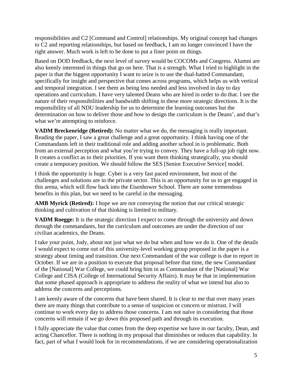responsibilities and C2 [Command and Control] relationships. My original concept had changes to C2 and reporting relationships, but based on feedback, I am no longer convinced I have the right answer. Much work is left to be done to put a finer point on things.

Based on DOD feedback, the next level of survey would be COCOMs and Congress. Alumni are also keenly interested in things that go on here. That is a strength. What I tried to highlight in the paper is that the biggest opportunity I want to seize is to use the dual-hatted Commandant, specifically for insight and perspective that comes across programs, which helps us with vertical and temporal integration. I see them as being less needed and less involved in day to day operations and curriculum. I have very talented Deans who are hired in order to do that. I see the nature of their responsibilities and bandwidth shifting in these more strategic directions. It is the responsibility of all NDU leadership for us to determine the learning outcomes but the determination on how to deliver those and how to design the curriculum is the Deans', and that's what we're attempting to reinforce.

**VADM Breckenridge (Retired):** No matter what we do, the messaging is really important. Reading the paper, I saw a great challenge and a great opportunity. I think having one of the Commandants left in their traditional role and adding another school in is problematic. Both from an external perception and what you're trying to convey. They have a full-up job right now. It creates a conflict as to their priorities. If you want them thinking strategically, you should create a temporary position. We should follow the SES [Senior Executive Service] model.

I think the opportunity is huge. Cyber is a very fast paced environment, but most of the challenges and solutions are in the private sector. This is an opportunity for us to get engaged in this arena, which will flow back into the Eisenhower School. There are some tremendous benefits in this plan, but we need to be careful in the messaging.

**AMB Myrick (Retired):** I hope we are not conveying the notion that our critical strategic thinking and cultivation of that thinking is limited to military.

**VADM Roegge:** It is the strategic direction I expect to come through the university and down through the commandants, but the curriculum and outcomes are under the direction of our civilian academics, the Deans.

I take your point, Jody, about not just what we do but when and how we do it. One of the details I would expect to come out of this university-level working group proposed in the paper is a strategy about timing and transition. Our next Commandant of the war college is due to report in October. If we are in a position to execute that proposal before that time, the new Commandant of the [National] War College, we could bring him in as Commandant of the [National] War College and CISA (College of International Security Affairs). It may be that in implementation that some phased approach is appropriate to address the reality of what we intend but also to address the concerns and perceptions.

I am keenly aware of the concerns that have been shared. It is clear to me that over many years there are many things that contribute to a sense of suspicion or concern or mistrust. I will continue to work every day to address those concerns. I am not naïve in considering that those concerns will remain if we go down this proposed path and through its execution.

I fully appreciate the value that comes from the deep expertise we have in our faculty, Dean, and acting Chancellor. There is nothing in my proposal that diminishes or reduces that capability. In fact, part of what I would look for in recommendations, if we are considering operationalization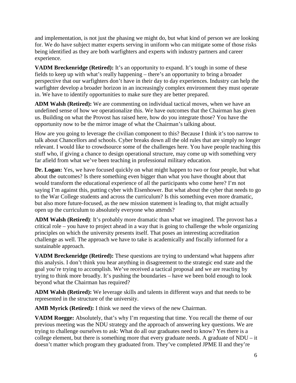and implementation, is not just the phasing we might do, but what kind of person we are looking for. We do have subject matter experts serving in uniform who can mitigate some of those risks being identified as they are both warfighters and experts with industry partners and career experience.

**VADM Breckenridge (Retired):** It's an opportunity to expand. It's tough in some of these fields to keep up with what's really happening – there's an opportunity to bring a broader perspective that our warfighters don't have in their day to day experiences. Industry can help the warfighter develop a broader horizon in an increasingly complex environment they must operate in. We have to identify opportunities to make sure they are better prepared.

**ADM Walsh (Retired):** We are commenting on individual tactical moves, when we have an undefined sense of how we operationalize this. We have outcomes that the Chairman has given us. Building on what the Provost has raised here, how do you integrate those? You have the opportunity now to be the mirror image of what the Chairman's talking about.

How are you going to leverage the civilian component to this? Because I think it's too narrow to talk about Chancellors and schools. Cyber breaks down all the old rules that are simply no longer relevant. I would like to crowdsource some of the challenges here. You have people teaching this stuff who, if giving a chance to design operational structure, may come up with something very far afield from what we've been teaching in professional military education.

**Dr. Logan:** Yes, we have focused quickly on what might happen to two or four people, but what about the outcomes? Is there something even bigger than what you have thought about that would transform the educational experience of all the participants who come here? I'm not saying I'm against this, putting cyber with Eisenhower. But what about the cyber that needs to go to the War College students and across the curriculum? Is this something even more dramatic, but also more future-focused, as the new mission statement is leading to, that might actually open up the curriculum to absolutely everyone who attends?

**ADM Walsh (Retired)**: It's probably more dramatic than what we imagined. The provost has a critical role – you have to project ahead in a way that is going to challenge the whole organizing principles on which the university presents itself. That poses an interesting accreditation challenge as well. The approach we have to take is academically and fiscally informed for a sustainable approach.

**VADM Breckenridge (Retired):** These questions are trying to understand what happens after this analysis. I don't think you hear anything in disagreement to the strategic end state and the goal you're trying to accomplish. We've received a tactical proposal and we are reacting by trying to think more broadly. It's pushing the boundaries – have we been bold enough to look beyond what the Chairman has required?

**ADM Walsh (Retired):** We leverage skills and talents in different ways and that needs to be represented in the structure of the university.

**AMB Myrick (Retired):** I think we need the views of the new Chairman.

**VADM Roegge:** Absolutely, that's why I'm requesting that time. You recall the theme of our previous meeting was the NDU strategy and the approach of answering key questions. We are trying to challenge ourselves to ask: What do all our graduates need to know? Yes there is a college element, but there is something more that every graduate needs. A graduate of NDU – it doesn't matter which program they graduated from. They've completed JPME II and they're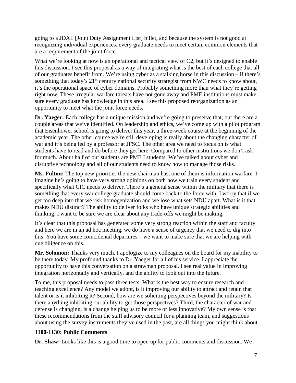going to a JDAL [Joint Duty Assignment List] billet, and because the system is not good at recognizing individual experiences, every graduate needs to meet certain common elements that are a requirement of the joint force.

What we're looking at now is an operational and tactical view of C2, but it's designed to enable this discussion. I see this proposal as a way of integrating what is the best of each college that all of our graduates benefit from. We're using cyber as a stalking horse in this discussion – if there's something that today's 21<sup>st</sup> century national security strategist from NWC needs to know about, it's the operational space of cyber domains. Probably something more than what they're getting right now. These irregular warfare threats have not gone away and PME institutions must make sure every graduate has knowledge in this area. I see this proposed reorganization as an opportunity to meet what the joint force needs.

**Dr. Yaeger:** Each college has a unique mission and we're going to preserve that, but there are a couple areas that we've identified. On leadership and ethics, we've come up with a pilot program that Eisenhower school is going to deliver this year, a three-week course at the beginning of the academic year. The other course we're still developing is really about the changing character of war and it's being led by a professor at JFSC. The other area we need to focus on is what students have to read and do before they get here. Compared to other institutions we don't ask for much. About half of our students are PME I students. We've talked about cyber and disruptive technology and all of our students need to know how to manage those risks.

**Ms. Fulton:** The top new priorities the new chairman has, one of them is information warfare. I imagine he's going to have very strong opinions on both how we train every student and specifically what CIC needs to deliver. There's a general sense within the military that there is something that every war college graduate should come back to the force with. I worry that if we get too deep into that we risk homogenization and we lose what sets NDU apart. What is it that makes NDU distinct? The ability to deliver folks who have unique strategic abilities and thinking. I want to be sure we are clear about any trade-offs we might be making.

It's clear that this proposal has generated some very strong reaction within the staff and faculty and here we are in an ad hoc meeting, we do have a sense of urgency that we need to dig into this. You have some coincidental departures – we want to make sure that we are helping with due diligence on this.

**Mr. Solomon:** Thanks very much. I apologize to my colleagues on the board for my inability to be there today. My profound thanks to Dr. Yaeger for all of his service. I appreciate the opportunity to have this conversation on a strawman proposal. I see real value in improving integration horizontally and vertically, and the ability to look out into the future.

To me, this proposal needs to pass three tests: What is the best way to ensure research and teaching excellence? Any model we adopt, is it improving our ability to attract and retain that talent or is it inhibiting it? Second, how are we soliciting perspectives beyond the military? Is there anything inhibiting our ability to get those perspectives? Third, the character of war and defense is changing, is a change helping us to be more or less innovative? My own sense is that these recommendations from the staff advisory council for a planning team, and suggestions about using the survey instruments they've used in the past, are all things you might think about.

#### **1100-1130: Public Comments**

**Dr. Shaw:** Looks like this is a good time to open up for public comments and discussion. We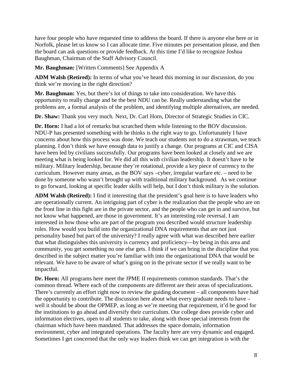have four people who have requested time to address the board. If there is anyone else here or in Norfolk, please let us know so I can allocate time. Five minutes per presentation please, and then the board can ask questions or provide feedback. At this time I'd like to recognize Joshua Baughman, Chairman of the Staff Advisory Council.

**Mr. Baughman:** [Written Comments] See Appendix A

**ADM Walsh (Retired):** In terms of what you've heard this morning in our discussion, do you think we're moving in the right direction?

**Mr. Baughman:** Yes, but there's lot of things to take into consideration. We have this opportunity to really change and be the best NDU can be. Really understanding what the problems are, a formal analysis of the problem, and identifying multiple alternatives, are needed.

**Dr. Shaw:** Thank you very much. Next, Dr. Carl Horn, Director of Strategic Studies in CIC.

**Dr. Horn:** I had a lot of remarks but scratched them while listening to the BOV discussion. NDU-P has presented something with he thinks is the right way to go. Unfortunately I have concerns about how this process was done. We teach our students not to do a strawman, we teach planning. I don't think we have enough data to justify a change. Our programs at CIC and CISA have been led by civilians successfully. Our programs have been looked at closely and we are meeting what is being looked for. We did all this with civilian leadership. It doesn't have to be military. Military leadership, because they're rotational, provide a key piece of currency to the curriculum. However many areas, as the BOV says –cyber, irregular warfare etc. – need to be done by someone who wasn't brought up with traditional military background. As we continue to go forward, looking at specific leader skills will help, but I don't think military is the solution.

**ADM Walsh (Retired):** I find it interesting that the president's goal here is to have leaders who are operationally current. An intriguing part of cyber is the realization that the people who are on the front line in this fight are in the private sector, and the people who can get in and survive, but not know what happened, are those in government. It's an interesting role reversal. I am interested in how those who are part of the program you described would structure leadership roles. How would you build into the organizational DNA requirements that are not just personality based but part of the university? I really agree with what was described here earlier that what distinguishes this university is currency and proficiency—by being in this area and community, you get something no one else gets. I think if we can bring in the discipline that you described in the subject matter you're familiar with into the organizational DNA that would be relevant. We have to be aware of what's going on in the private sector if we really want to be impactful.

**Dr. Horn:** All programs here meet the JPME II requirements common standards. That's the common thread. Where each of the components are different are their areas of specializations. There's currently an effort right now to review the guiding document – all components have had the opportunity to contribute. The discussion here about what every graduate needs to have – well it should be about the OPMEP, as long as we're meeting that requirement, it'd be good for the institutions to go ahead and diversify their curriculum. Our college does provide cyber and information electives, open to all students to take, along with those special interests from the chairman which have been mandated. That addresses the space domain, information environment, cyber and integrated operations. The faculty here are very dynamic and engaged. Sometimes I get concerned that the only way leaders think we can get integration is with the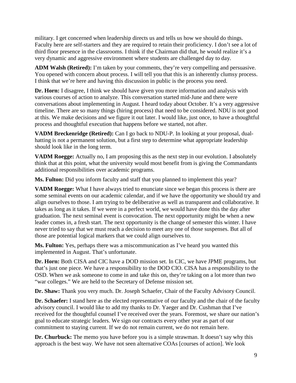military. I get concerned when leadership directs us and tells us how we should do things. Faculty here are self-starters and they are required to retain their proficiency. I don't see a lot of third floor presence in the classrooms. I think if the Chairman did that, he would realize it's a very dynamic and aggressive environment where students are challenged day to day.

**ADM Walsh (Retired):** I'm taken by your comments, they're very compelling and persuasive. You opened with concern about process. I will tell you that this is an inherently clumsy process. I think that we're here and having this discussion in public is the process you need.

**Dr. Horn:** I disagree, I think we should have given you more information and analysis with various courses of action to analyze. This conversation started mid-June and there were conversations about implementing in August. I heard today about October. It's a very aggressive timeline. There are so many things (hiring process) that need to be considered. NDU is not good at this. We make decisions and we figure it out later. I would like, just once, to have a thoughtful process and thoughtful execution that happens before we started, not after.

**VADM Breckenridge (Retired):** Can I go back to NDU-P. In looking at your proposal, dualhatting is not a permanent solution, but a first step to determine what appropriate leadership should look like in the long term.

**VADM Roegge:** Actually no, I am proposing this as the next step in our evolution. I absolutely think that at this point, what the university would most benefit from is giving the Commandants additional responsibilities over academic programs.

Ms. Fulton: Did you inform faculty and staff that you planned to implement this year?

**VADM Roegge:** What I have always tried to enunciate since we began this process is there are some seminal events on our academic calendar, and if we have the opportunity we should try and align ourselves to those. I am trying to be deliberative as well as transparent and collaborative. It takes as long as it takes. If we were in a perfect world, we would have done this the day after graduation. The next seminal event is convocation. The next opportunity might be when a new leader comes in, a fresh start. The next opportunity is the change of semester this winter. I have never tried to say that we must reach a decision to meet any one of those suspenses. But all of those are potential logical markers that we could align ourselves to.

**Ms. Fulton:** Yes, perhaps there was a miscommunication as I've heard you wanted this implemented in August. That's unfortunate.

**Dr. Horn:** Both CISA and CIC have a DOD mission set. In CIC, we have JPME programs, but that's just one piece. We have a responsibility to the DOD CIO. CISA has a responsibility to the OSD. When we ask someone to come in and take this on, they're taking on a lot more than two "war colleges." We are held to the Secretary of Defense mission set.

**Dr. Shaw:** Thank you very much. Dr. Joseph Schaefer, Chair of the Faculty Advisory Council.

**Dr. Schaefer:** I stand here as the elected representative of our faculty and the chair of the faculty advisory council. I would like to add my thanks to Dr. Yaeger and Dr. Cushman that I've received for the thoughtful counsel I've received over the years. Foremost, we share our nation's goal to educate strategic leaders. We sign our contracts every other year as part of our commitment to staying current. If we do not remain current, we do not remain here.

**Dr. Churbuck:** The memo you have before you is a simple strawman. It doesn't say why this approach is the best way. We have not seen alternative COAs [courses of action]. We look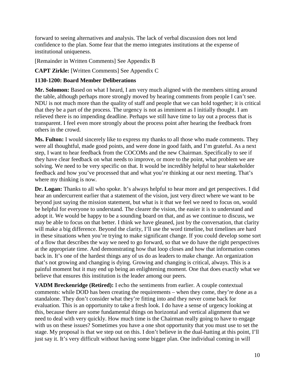forward to seeing alternatives and analysis. The lack of verbal discussion does not lend confidence to the plan. Some fear that the memo integrates institutions at the expense of institutional uniqueness.

[Remainder in Written Comments] See Appendix B

**CAPT Zirkle:** [Written Comments] See Appendix C

#### **1130-1200: Board Member Deliberations**

**Mr. Solomon:** Based on what I heard, I am very much aligned with the members sitting around the table, although perhaps more strongly moved by hearing comments from people I can't see. NDU is not much more than the quality of staff and people that we can hold together; it is critical that they be a part of the process. The urgency is not as imminent as I initially thought. I am relieved there is no impending deadline. Perhaps we still have time to lay out a process that is transparent. I feel even more strongly about the process point after hearing the feedback from others in the crowd.

**Ms. Fulton:** I would sincerely like to express my thanks to all those who made comments. They were all thoughtful, made good points, and were done in good faith, and I'm grateful. As a next step, I want to hear feedback from the COCOMs and the new Chairman. Specifically to see if they have clear feedback on what needs to improve, or more to the point, what problem we are solving. We need to be very specific on that. It would be incredibly helpful to hear stakeholder feedback and how you've processed that and what you're thinking at our next meeting. That's where my thinking is now.

Dr. Logan: Thanks to all who spoke. It's always helpful to hear more and get perspectives. I did hear an undercurrent earlier that a statement of the vision, just very direct where we want to be beyond just saying the mission statement, but what is it that we feel we need to focus on, would be helpful for everyone to understand. The clearer the vision, the easier it is to understand and adopt it. We would be happy to be a sounding board on that, and as we continue to discuss, we may be able to focus on that better. I think we have gleaned, just by the conversation, that clarity will make a big difference. Beyond the clarity, I'll use the word timeline, but timelines are hard in these situations when you're trying to make significant change. If you could develop some sort of a flow that describes the way we need to go forward, so that we do have the right perspectives at the appropriate time. And demonstrating how that loop closes and how that information comes back in. It's one of the hardest things any of us do as leaders to make change. An organization that's not growing and changing is dying. Growing and changing is critical, always. This is a painful moment but it may end up being an enlightening moment. One that does exactly what we believe that ensures this institution is the leader among our peers.

**VADM Breckenridge (Retired):** I echo the sentiments from earlier. A couple contextual comments: while DOD has been creating the requirements – when they come, they're done as a standalone. They don't consider what they're fitting into and they never come back for evaluation. This is an opportunity to take a fresh look. I do have a sense of urgency looking at this, because there are some fundamental things on horizontal and vertical alignment that we need to deal with very quickly. How much time is the Chairman really going to have to engage with us on these issues? Sometimes you have a one shot opportunity that you must use to set the stage. My proposal is that we step out on this. I don't believe in the dual-hatting at this point, I'll just say it. It's very difficult without having some bigger plan. One individual coming in will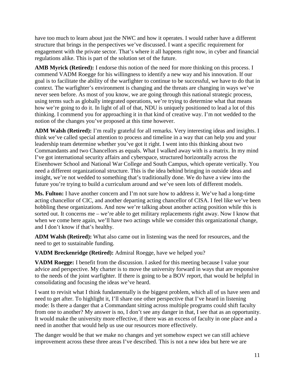have too much to learn about just the NWC and how it operates. I would rather have a different structure that brings in the perspectives we've discussed. I want a specific requirement for engagement with the private sector. That's where it all happens right now, in cyber and financial regulations alike. This is part of the solution set of the future.

**AMB Myrick (Retired):** I endorse this notion of the need for more thinking on this process. I commend VADM Roegge for his willingness to identify a new way and his innovation. If our goal is to facilitate the ability of the warfighter to continue to be successful, we have to do that in context. The warfighter's environment is changing and the threats are changing in ways we've never seen before. As most of you know, we are going through this national strategic process, using terms such as globally integrated operations, we're trying to determine what that means how we're going to do it. In light of all of that, NDU is uniquely positioned to lead a lot of this thinking. I commend you for approaching it in that kind of creative way. I'm not wedded to the notion of the changes you've proposed at this time however.

**ADM Walsh (Retired):** I'm really grateful for all remarks. Very interesting ideas and insights. I think we've called special attention to process and timeline in a way that can help you and your leadership team determine whether you've got it right. I went into this thinking about two Commandants and two Chancellors as equals. What I walked away with is a matrix. In my mind I've got international security affairs and cyberspace, structured horizontally across the Eisenhower School and National War College and South Campus, which operate vertically. You need a different organizational structure. This is the idea behind bringing in outside ideas and insight, we're not wedded to something that's traditionally done. We do have a view into the future you're trying to build a curriculum around and we've seen lots of different models.

**Ms. Fulton:** I have another concern and I'm not sure how to address it. We've had a long-time acting chancellor of CIC, and another departing acting chancellor of CISA. I feel like we've been hobbling these organizations. And now we're talking about another acting position while this is sorted out. It concerns me – we're able to get military replacements right away. Now I know that when we come here again, we'll have two actings while we consider this organizational change, and I don't know if that's healthy.

**ADM Walsh (Retired):** What also came out in listening was the need for resources, and the need to get to sustainable funding.

**VADM Breckenridge (Retired):** Admiral Roegge, have we helped you?

**VADM Roegge:** I benefit from the discussion. I asked for this meeting because I value your advice and perspective. My charter is to move the university forward in ways that are responsive to the needs of the joint warfighter. If there is going to be a BOV report, that would be helpful in consolidating and focusing the ideas we've heard.

I want to revisit what I think fundamentally is the biggest problem, which all of us have seen and need to get after. To highlight it, I'll share one other perspective that I've heard in listening mode: Is there a danger that a Commandant sitting across multiple programs could shift faculty from one to another? My answer is no, I don't see any danger in that, I see that as an opportunity. It would make the university more effective, if there was an excess of faculty in one place and a need in another that would help us use our resources more effectively.

The danger would be that we make no changes and yet somehow expect we can still achieve improvement across these three areas I've described. This is not a new idea but here we are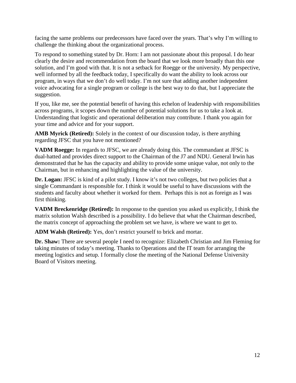facing the same problems our predecessors have faced over the years. That's why I'm willing to challenge the thinking about the organizational process.

To respond to something stated by Dr. Horn: I am not passionate about this proposal. I do hear clearly the desire and recommendation from the board that we look more broadly than this one solution, and I'm good with that. It is not a setback for Roegge or the university. My perspective, well informed by all the feedback today, I specifically do want the ability to look across our program, in ways that we don't do well today. I'm not sure that adding another independent voice advocating for a single program or college is the best way to do that, but I appreciate the suggestion.

If you, like me, see the potential benefit of having this echelon of leadership with responsibilities across programs, it scopes down the number of potential solutions for us to take a look at. Understanding that logistic and operational deliberation may contribute. I thank you again for your time and advice and for your support.

**AMB Myrick (Retired):** Solely in the context of our discussion today, is there anything regarding JFSC that you have not mentioned?

**VADM Roegge:** In regards to JFSC, we are already doing this. The commandant at JFSC is dual-hatted and provides direct support to the Chairman of the J7 and NDU. General Irwin has demonstrated that he has the capacity and ability to provide some unique value, not only to the Chairman, but in enhancing and highlighting the value of the university.

**Dr. Logan:** JFSC is kind of a pilot study. I know it's not two colleges, but two policies that a single Commandant is responsible for. I think it would be useful to have discussions with the students and faculty about whether it worked for them. Perhaps this is not as foreign as I was first thinking.

**VADM Breckenridge (Retired):** In response to the question you asked us explicitly, I think the matrix solution Walsh described is a possibility. I do believe that what the Chairman described, the matrix concept of approaching the problem set we have, is where we want to get to.

**ADM Walsh (Retired):** Yes, don't restrict yourself to brick and mortar.

**Dr. Shaw:** There are several people I need to recognize: Elizabeth Christian and Jim Fleming for taking minutes of today's meeting. Thanks to Operations and the IT team for arranging the meeting logistics and setup. I formally close the meeting of the National Defense University Board of Visitors meeting.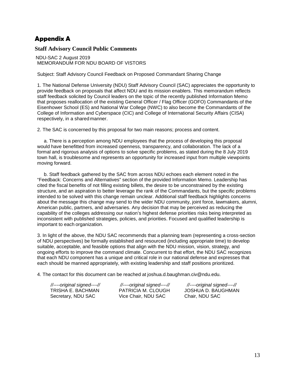# **Appendix A**

#### **Staff Advisory Council Public Comments**

NDU-SAC 2 August 2019 MEMORANDUM FOR NDU BOARD OF VISTORS

Subject: Staff Advisory Council Feedback on Proposed Commandant Sharing Change

1. The National Defense University (NDU) Staff Advisory Council (SAC) appreciates the opportunity to provide feedback on proposals that affect NDU and its mission enablers. This memorandum reflects staff feedback solicited by Council leaders on the topic of the recently published Information Memo that proposes reallocation of the existing General Officer / Flag Officer (GOFO) Commandants of the Eisenhower School (ES) and National War College (NWC) to also become the Commandants of the College of Information and Cyberspace (CIC) and College of International Security Affairs (CISA) respectively, in a shared manner.

2. The SAC is concerned by this proposal for two main reasons; process and content.

a. There is a perception among NDU employees that the process of developing this proposal would have benefitted from increased openness, transparency, and collaboration. The lack of a formal and rigorous analysis of options to solve specific problems, as stated during the 8 July 2019 town hall, is troublesome and represents an opportunity for increased input from multiple viewpoints moving forward.

b. Staff feedback gathered by the SAC from across NDU echoes each element noted in the "Feedback: Concerns and Alternatives" section of the provided Information Memo. Leadership has cited the fiscal benefits of not filling existing billets, the desire to be unconstrained by the existing structure, and an aspiration to better leverage the rank of the Commandants, but the specific problems intended to be solved with this change remain unclear. Additional staff feedback highlights concerns about the message this change may send to the wider NDU community, joint force, lawmakers, alumni, American public, partners, and adversaries. Any decision that may be perceived as reducing the capability of the colleges addressing our nation's highest defense priorities risks being interpreted as inconsistent with published strategies, policies, and priorities. Focused and qualified leadership is important to each organization.

3. In light of the above, the NDU SAC recommends that a planning team (representing a cross-section of NDU perspectives) be formally established and resourced (including appropriate time) to develop suitable, acceptable, and feasible options that align with the NDU mission, vision, strategy, and ongoing efforts to improve the command climate. Concurrent to that effort, the NDU SAC recognizes that each NDU component has a unique and critical role in our national defense and expresses that each should be manned appropriately, with existing leadership and staff positions prioritized.

4. The contact for this document can be reached at [joshua.d.baughman.civ@ndu.edu.](mailto:joshua.d.baughman.civ@ndu.edu)

| //----original signed----// | //----original signed----// |
|-----------------------------|-----------------------------|
| TRISHA E. BACHMAN           | PATRICIA M. CLOUGH          |
| Secretary, NDU SAC          | Vice Chair, NDU SAC         |

*//----original signed----// //----original signed----// //----original signed----//* JOSHUA D. BAUGHMAN Chair, NDU SAC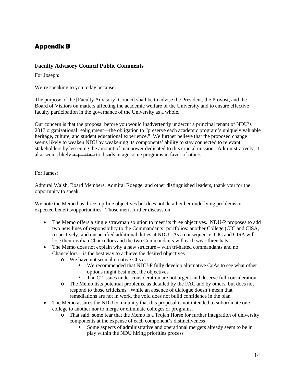# **Appendix B**

#### **Faculty Advisory Council Public Comments**

For Joseph:

We're speaking to you today because…

The purpose of the [Faculty Advisory] Council shall be to advise the President, the Provost, and the Board of Visitors on matters affecting the academic welfare of the University and to ensure effective faculty participation in the governance of the University as a whole.

Our concern is that the proposal before you would inadvertently undercut a principal tenant of NDU's 2017 organizational realignment—the obligation to "preserve each academic program's uniquely valuable heritage, culture, and student educational experience." We further believe that the proposed change seems likely to weaken NDU by weakening its components' ability to stay connected to relevant stakeholders by lessening the amount of manpower dedicated to this crucial mission. Administratively, it also seems likely in practice to disadvantage some programs in favor of others.

#### For James:

Admiral Walsh, Board Members, Admiral Roegge, and other distinguished leaders, thank you for the opportunity to speak.

We note the Memo has three top-line objectives but does not detail either underlying problems or expected benefits/opportunities. Those merit further discussion

- The Memo offers a single strawman solution to meet its three objectives. NDU-P proposes to add two new lines of responsibility to the Commandants' portfolios: another College (CIC and CISA, respectively) and unspecified additional duties at NDU. As a consequence, CIC and CISA will lose their civilian Chancellors and the two Commandants will each wear three hats
- The Memo does not explain why a new structure with tri-hatted commandants and no Chancellors – is the best way to achieve the desired objectives
	- o We have not seen alternative COAs
		- We recommended that NDU-P fully develop alternative CoAs to see what other options might best meet the objectives
		- The C2 issues under consideration are not urgent and deserve full consideration
	- o The Memo lists potential problems, as detailed by the FAC and by others, but does not respond to those criticisms. While an absence of dialogue doesn't mean that remediations are not in work, the void does not build confidence in the plan
- The Memo assures the NDU community that this proposal is not intended to subordinate one college to another nor to merge or eliminate colleges or programs.
	- o That said, some fear that the Memo is a Trojan Horse for further integration of university components at the expense of each component's distinctiveness
		- Some aspects of administrative and operational mergers already seem to be in play within the NDU hiring priorities process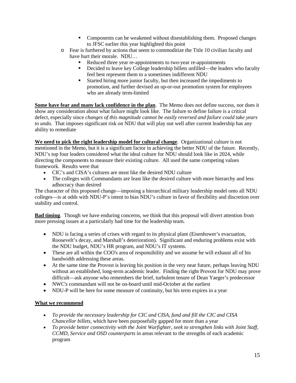- Components can be weakened without disestablishing them. Proposed changes to JFSC earlier this year highlighted this point
- o Fear is furthered by actions that seem to commoditize the Title 10 civilian faculty and have hurt their morale. NDU…
	- Reduced three year re-appointments to two-year re-appointments
	- Decided to leave key College leadership billets unfilled—the leaders who faculty feel best represent them to a sometimes indifferent NDU
	- Started hiring more junior faculty, but then increased the impediments to promotion, and further devised an up-or-out promotion system for employees who are already term-limited

**Some have fear and many lack confidence in the plan**. The Memo does not define success, nor does it show any consideration about what failure might look like. The failure to define failure is a critical defect, especially since *changes of this magnitude cannot be easily reversed and failure could take years to undo*. That imposes significant risk on NDU that will play out well after current leadership has any ability to remediate

**We need to pick the right leadership model for cultural change**. Organizational culture is not mentioned in the Memo, but it is a significant factor in achieving the better NDU of the future. Recently, NDU's top four leaders considered what the ideal culture for NDU should look like in 2024, while directing the components to measure their existing culture. All used the same competing values framework. Results were that

- CIC's and CISA's cultures are most like the desired NDU culture
- The colleges with Commandants are least like the desired culture with more hierarchy and less adhocracy than desired

The character of this proposed change—imposing a hierarchical military leadership model onto all NDU colleges—is at odds with NDU-P's intent to bias NDU's culture in favor of flexibility and discretion over stability and control.

**Bad timing**. Though we have enduring concerns, we think that this proposal will divert attention from more pressing issues at a particularly bad time for the leadership team.

- NDU is facing a series of crises with regard to its physical plant (Eisenhower's evacuation, Roosevelt's decay, and Marshall's deterioration). Significant and enduring problems exist with the NDU budget, NDU's HR program, and NDU's IT systems.
- These are all within the COO's area of responsibility and we assume he will exhaust all of his bandwidth addressing these areas.
- At the same time the Provost is leaving his position in the very near future, perhaps leaving NDU without an established, long-term academic leader. Finding the right Provost for NDU may prove difficult—ask anyone who remembers the brief, turbulent tenure of Dean Yaeger's predecessor
- NWC's commandant will not be on-board until mid-October at the earliest
- NDU-P will be here for some measure of continuity, but his term expires in a year

#### **What we recommend**

- *To provide the necessary leadership for CIC and CISA, fund and fill the CIC and CISA Chancellor billets*, which have been purposefully gapped for more than a year
- *To provide better connectivity with the Joint Warfighter, seek to strengthen links with Joint Staff, CCMD, Service and OSD counterparts* in areas relevant to the strengths of each academic program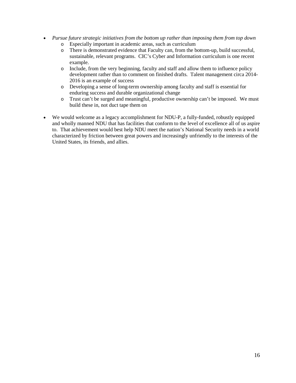- *Pursue future strategic initiatives from the bottom up rather than imposing them from top down*
	- o Especially important in academic areas, such as curriculum
	- There is demonstrated evidence that Faculty can, from the bottom-up, build successful, sustainable, relevant programs. CIC's Cyber and Information curriculum is one recent example.
	- o Include, from the very beginning, faculty and staff and allow them to influence policy development rather than to comment on finished drafts. Talent management circa 2014- 2016 is an example of success
	- o Developing a sense of long-term ownership among faculty and staff is essential for enduring success and durable organizational change
	- o Trust can't be surged and meaningful, productive ownership can't be imposed. We must build these in, not duct tape them on
- We would welcome as a legacy accomplishment for NDU-P, a fully-funded, robustly equipped and wholly manned NDU that has facilities that conform to the level of excellence all of us aspire to. That achievement would best help NDU meet the nation's National Security needs in a world characterized by friction between great powers and increasingly unfriendly to the interests of the United States, its friends, and allies.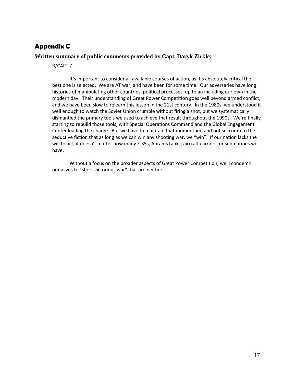# **Appendix C**

#### **Written summary of public comments provided by Capt. Daryk Zirkle:**

R/CAPT Z

It's important to consider all available courses of action, as it's absolutely critical the best one is selected. We are AT war, and have been for some time. Our adversaries have long histories of manipulating other countries' political processes, up to an including our own in the modern day. Their understanding of Great Power Competition goes well beyond armed conflict, and we have been slow to relearn this lesson in the 21st century. In the 1980s, we understood it well enough to watch the Soviet Union crumble without firing a shot, but we systematically dismantled the primary tools we used to achieve that result throughout the 1990s. We're finally starting to rebuild those tools, with Special Operations Command and the Global Engagement Center leading the charge. But we have to maintain that momentum, and not succumb to the seductive fiction that as long as we can win any shooting war, we "win". If our nation lacks the will to act, it doesn't matter how many F-35s, Abrams tanks, aircraft carriers, or submarines we have.

Without a focus on the broader aspects of Great Power Competition, we'll condemn ourselves to "short victorious war" that are neither.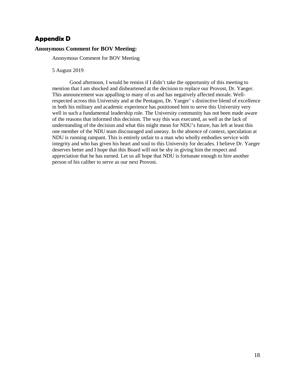### **Appendix D**

#### **Anonymous Comment for BOV Meeting:**

Anonymous Comment for BOV Meeting

5 August 2019

Good afternoon, I would be remiss if I didn't take the opportunity of this meeting to mention that I am shocked and disheartened at the decision to replace our Provost, Dr. Yaeger. This announcement was appalling to many of us and has negatively affected morale. Wellrespected across this University and at the Pentagon, Dr. Yaeger' s distinctive blend of excellence in both his military and academic experience has positioned him to serve this University very well in such a fundamental leadership role. The University community has not been made aware of the reasons that informed this decision. The way this was executed, as well as the lack of understanding of the decision and what this might mean for NDU's future, has left at least this one member of the NDU team discouraged and uneasy. In the absence of context, speculation at NDU is running rampant. This is entirely unfair to a man who wholly embodies service with integrity and who has given his heart and soul to this University for decades. I believe Dr. Yaeger deserves better and I hope that this Board will not be shy in giving him the respect and appreciation that he has earned. Let us all hope that NDU is fortunate enough to hire another person of his caliber to serve as our next Provost.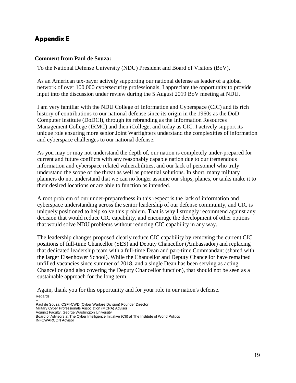# **Appendix E**

#### **Comment from Paul de Souza:**

To the National Defense University (NDU) President and Board of Visitors (BoV),

As an American tax-payer actively supporting our national defense as leader of a global network of over 100,000 cybersecurity professionals, I appreciate the opportunity to provide input into the discussion under review during the 5 August 2019 BoV meeting at NDU.

I am very familiar with the NDU College of Information and Cyberspace (CIC) and its rich history of contributions to our national defense since its origin in the 1960s as the DoD Computer Institute (DoDCI), through its rebranding as the Information Resources Management College (IRMC) and then iCollege, and today as CIC. I actively support its unique role ensuring more senior Joint Warfighters understand the complexities of information and cyberspace challenges to our national defense.

As you may or may not understand the depth of, our nation is completely under-prepared for current and future conflicts with any reasonably capable nation due to our tremendous information and cyberspace related vulnerabilities, and our lack of personnel who truly understand the scope of the threat as well as potential solutions. In short, many military planners do not understand that we can no longer assume our ships, planes, or tanks make it to their desired locations or are able to function as intended.

A root problem of our under-preparedness in this respect is the lack of information and cyberspace understanding across the senior leadership of our defense community, and CIC is uniquely positioned to help solve this problem. That is why I strongly recommend against any decision that would reduce CIC capability, and encourage the development of other options that would solve NDU problems without reducing CIC capability in any way.

The leadership changes proposed clearly reduce CIC capability by removing the current CIC positions of full-time Chancellor (SES) and Deputy Chancellor (Ambassador) and replacing that dedicated leadership team with a full-time Dean and part-time Commandant (shared with the larger Eisenhower School). While the Chancellor and Deputy Chancellor have remained unfilled vacancies since summer of 2018, and a single Dean has been serving as acting Chancellor (and also covering the Deputy Chancellor function), that should not be seen as a sustainable approach for the long term.

Again, thank you for this opportunity and for your role in our nation's defense. Regards,

-- Paul de Souza, CSFI-CWD (Cyber Warfare Division) Founder Director Military Cyber Professionals Association (MCPA) Advisor Adjunct Faculty, George Washington University Board of Advisors at The Cyber Intelligence Initiative (CII) at The Institute of World Politics INFOWARCON Advisor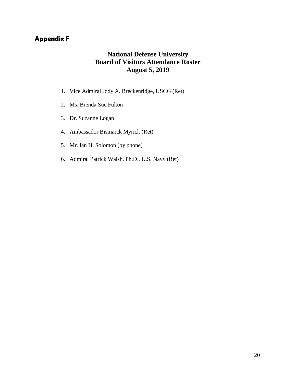# **Appendix F**

# **National Defense University Board of Visitors Attendance Roster August 5, 2019**

- 1. Vice Admiral Jody A. Breckenridge, USCG (Ret)
- 2. Ms. Brenda Sue Fulton
- 3. Dr. Suzanne Logan
- 4. Ambassador Bismarck Myrick (Ret)
- 5. Mr. Ian H. Solomon (by phone)
- 6. Admiral Patrick Walsh, Ph.D., U.S. Navy (Ret)